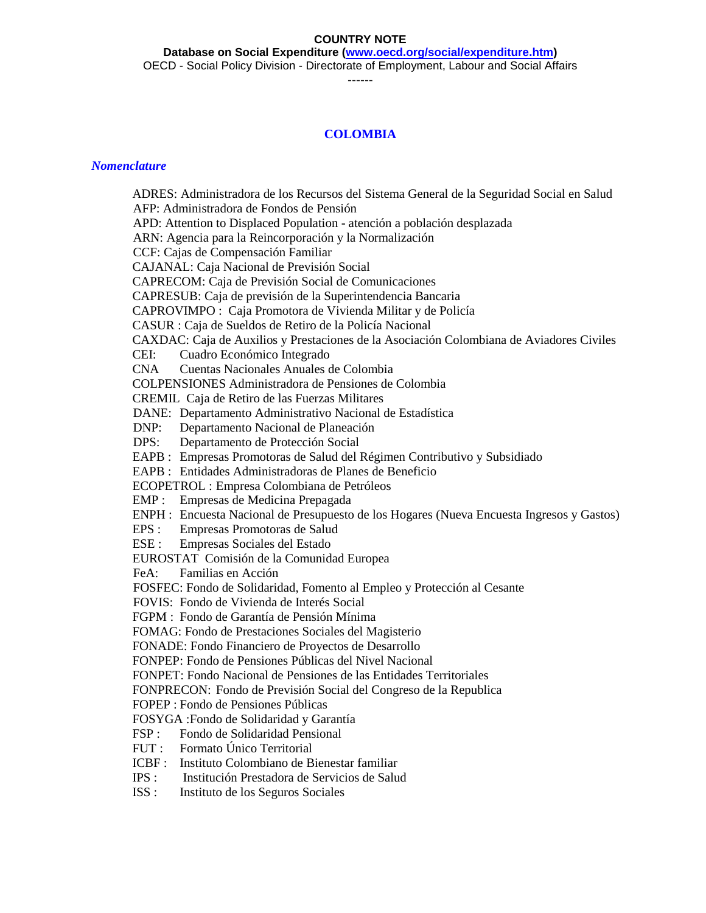#### **COUNTRY NOTE**

**Database on Social Expenditure [\(www.oecd.org/social/expenditure.htm\)](http://www.oecd.org/social/expenditure.htm)**

OECD - Social Policy Division - Directorate of Employment, Labour and Social Affairs

------

## **COLOMBIA**

#### *Nomenclature*

ADRES: Administradora de los Recursos del Sistema General de la Seguridad Social en Salud AFP: Administradora de Fondos de Pensión APD: Attention to Displaced Population - atención a población desplazada ARN: Agencia para la Reincorporación y la Normalización CCF: Cajas de Compensación Familiar CAJANAL: Caja Nacional de Previsión Social CAPRECOM: Caja de Previsión Social de Comunicaciones CAPRESUB: Caja de previsión de la Superintendencia Bancaria CAPROVIMPO : Caja Promotora de Vivienda Militar y de Policía CASUR : Caja de Sueldos de Retiro de la Policía Nacional CAXDAC: Caja de Auxilios y Prestaciones de la Asociación Colombiana de Aviadores Civiles CEI: Cuadro Económico Integrado CNA Cuentas Nacionales Anuales de Colombia COLPENSIONES Administradora de Pensiones de Colombia CREMIL Caja de Retiro de las Fuerzas Militares DANE: Departamento Administrativo Nacional de Estadística DNP: Departamento Nacional de Planeación DPS: Departamento de Protección Social EAPB : Empresas Promotoras de Salud del Régimen Contributivo y Subsidiado EAPB : Entidades Administradoras de Planes de Beneficio ECOPETROL : Empresa Colombiana de Petróleos EMP : Empresas de Medicina Prepagada ENPH : Encuesta Nacional de Presupuesto de los Hogares (Nueva Encuesta Ingresos y Gastos) EPS : Empresas Promotoras de Salud ESE : Empresas Sociales del Estado EUROSTAT Comisión de la Comunidad Europea FeA: Familias en Acción FOSFEC: Fondo de Solidaridad, Fomento al Empleo y Protección al Cesante FOVIS: Fondo de Vivienda de Interés Social FGPM : Fondo de Garantía de Pensión Mínima FOMAG: Fondo de Prestaciones Sociales del Magisterio FONADE: Fondo Financiero de Proyectos de Desarrollo FONPEP: Fondo de Pensiones Públicas del Nivel Nacional FONPET: Fondo Nacional de Pensiones de las Entidades Territoriales FONPRECON: Fondo de Previsión Social del Congreso de la Republica FOPEP : Fondo de Pensiones Públicas FOSYGA :Fondo de Solidaridad y Garantía FSP : Fondo de Solidaridad Pensional FUT : Formato Único Territorial ICBF : Instituto Colombiano de Bienestar familiar IPS : Institución Prestadora de Servicios de Salud ISS : Instituto de los Seguros Sociales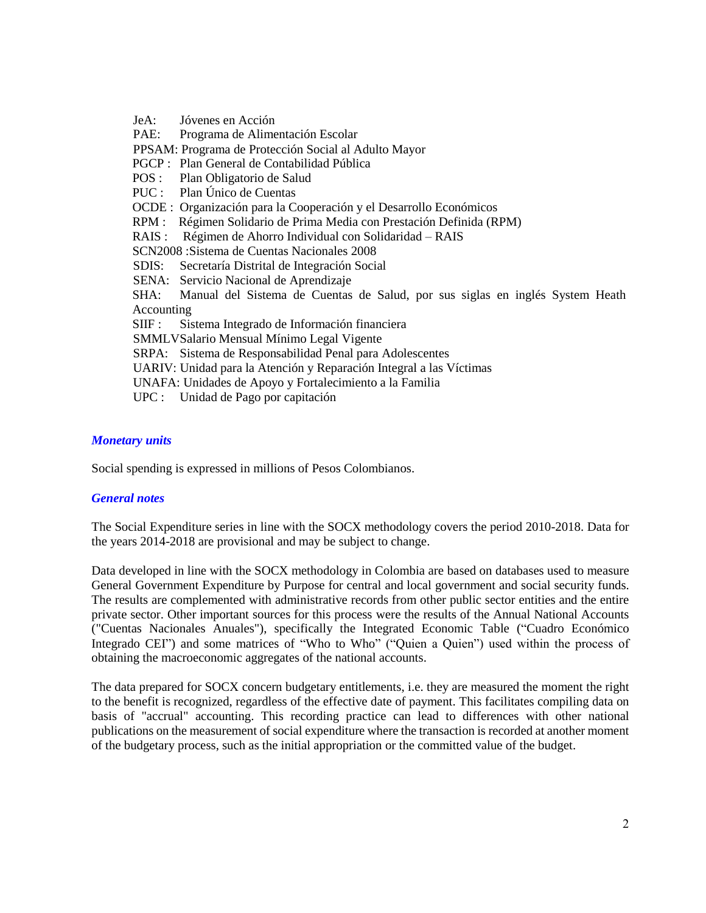JeA: Jóvenes en Acción PAE: Programa de Alimentación Escolar PPSAM: Programa de Protección Social al Adulto Mayor PGCP : Plan General de Contabilidad Pública<br>POS : Plan Obligatorio de Salud Plan Obligatorio de Salud PUC : Plan Único de Cuentas OCDE : Organización para la Cooperación y el Desarrollo Económicos RPM : Régimen Solidario de Prima Media con Prestación Definida (RPM) RAIS : Régimen de Ahorro Individual con Solidaridad – RAIS SCN2008 :Sistema de Cuentas Nacionales 2008 SDIS: Secretaría Distrital de Integración Social SENA: Servicio Nacional de Aprendizaje SHA: Manual del Sistema de Cuentas de Salud, por sus siglas en inglés System Heath Accounting SIIF : Sistema Integrado de Información financiera SMMLVSalario Mensual Mínimo Legal Vigente SRPA: Sistema de Responsabilidad Penal para Adolescentes UARIV: Unidad para la Atención y Reparación Integral a las Víctimas UNAFA: Unidades de Apoyo y Fortalecimiento a la Familia UPC : Unidad de Pago por capitación

## *Monetary units*

Social spending is expressed in millions of Pesos Colombianos.

#### *General notes*

The Social Expenditure series in line with the SOCX methodology covers the period 2010-2018. Data for the years 2014-2018 are provisional and may be subject to change.

Data developed in line with the SOCX methodology in Colombia are based on databases used to measure General Government Expenditure by Purpose for central and local government and social security funds. The results are complemented with administrative records from other public sector entities and the entire private sector. Other important sources for this process were the results of the Annual National Accounts ("Cuentas Nacionales Anuales"), specifically the Integrated Economic Table ("Cuadro Económico Integrado CEI") and some matrices of "Who to Who" ("Quien a Quien") used within the process of obtaining the macroeconomic aggregates of the national accounts.

The data prepared for SOCX concern budgetary entitlements, i.e. they are measured the moment the right to the benefit is recognized, regardless of the effective date of payment. This facilitates compiling data on basis of "accrual" accounting. This recording practice can lead to differences with other national publications on the measurement of social expenditure where the transaction is recorded at another moment of the budgetary process, such as the initial appropriation or the committed value of the budget.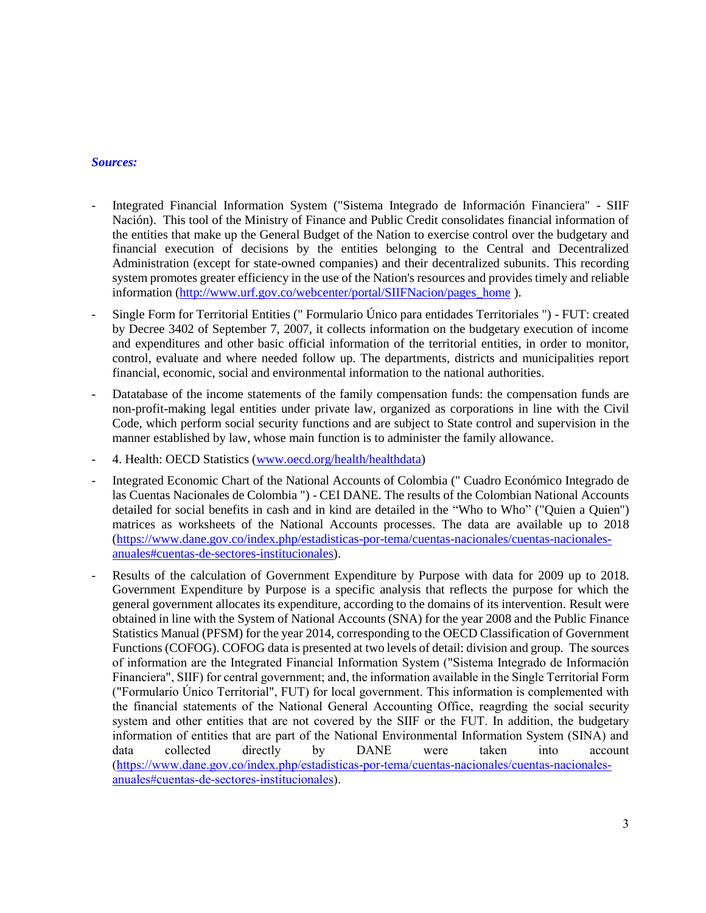## *Sources:*

- Integrated Financial Information System ("Sistema Integrado de Información Financiera" SIIF Nación). This tool of the Ministry of Finance and Public Credit consolidates financial information of the entities that make up the General Budget of the Nation to exercise control over the budgetary and financial execution of decisions by the entities belonging to the Central and Decentralized Administration (except for state-owned companies) and their decentralized subunits. This recording system promotes greater efficiency in the use of the Nation's resources and provides timely and reliable information [\(http://www.urf.gov.co/webcenter/portal/SIIFNacion/pages\\_home](http://www.urf.gov.co/webcenter/portal/SIIFNacion/pages_home)).
- Single Form for Territorial Entities (" Formulario Único para entidades Territoriales ") FUT: created by Decree 3402 of September 7, 2007, it collects information on the budgetary execution of income and expenditures and other basic official information of the territorial entities, in order to monitor, control, evaluate and where needed follow up. The departments, districts and municipalities report financial, economic, social and environmental information to the national authorities.
- Datatabase of the income statements of the family compensation funds: the compensation funds are non-profit-making legal entities under private law, organized as corporations in line with the Civil Code, which perform social security functions and are subject to State control and supervision in the manner established by law, whose main function is to administer the family allowance.
- 4. Health: OECD Statistics [\(www.oecd.org/health/healthdata\)](http://www.oecd.org/health/healthdata)
- Integrated Economic Chart of the National Accounts of Colombia (" Cuadro Económico Integrado de las Cuentas Nacionales de Colombia ") - CEI DANE. The results of the Colombian National Accounts detailed for social benefits in cash and in kind are detailed in the "Who to Who" ("Quien a Quien") matrices as worksheets of the National Accounts processes. The data are available up to 2018 [\(https://www.dane.gov.co/index.php/estadisticas-por-tema/cuentas-nacionales/cuentas-nacionales](https://www.dane.gov.co/index.php/estadisticas-por-tema/cuentas-nacionales/cuentas-nacionales-anuales#cuentas-de-sectores-institucionales)[anuales#cuentas-de-sectores-institucionales\)](https://www.dane.gov.co/index.php/estadisticas-por-tema/cuentas-nacionales/cuentas-nacionales-anuales#cuentas-de-sectores-institucionales).
- Results of the calculation of Government Expenditure by Purpose with data for 2009 up to 2018. Government Expenditure by Purpose is a specific analysis that reflects the purpose for which the general government allocates its expenditure, according to the domains of its intervention. Result were obtained in line with the System of National Accounts (SNA) for the year 2008 and the Public Finance Statistics Manual (PFSM) for the year 2014, corresponding to the OECD Classification of Government Functions (COFOG). COFOG data is presented at two levels of detail: division and group. The sources of information are the Integrated Financial Information System ("Sistema Integrado de Información Financiera", SIIF) for central government; and, the information available in the Single Territorial Form ("Formulario Único Territorial", FUT) for local government. This information is complemented with the financial statements of the National General Accounting Office, reagrding the social security system and other entities that are not covered by the SIIF or the FUT. In addition, the budgetary information of entities that are part of the National Environmental Information System (SINA) and data collected directly by DANE were taken into account [\(https://www.dane.gov.co/index.php/estadisticas-por-tema/cuentas-nacionales/cuentas-nacionales](https://www.dane.gov.co/index.php/estadisticas-por-tema/cuentas-nacionales/cuentas-nacionales-anuales#cuentas-de-sectores-institucionales)[anuales#cuentas-de-sectores-institucionales\)](https://www.dane.gov.co/index.php/estadisticas-por-tema/cuentas-nacionales/cuentas-nacionales-anuales#cuentas-de-sectores-institucionales).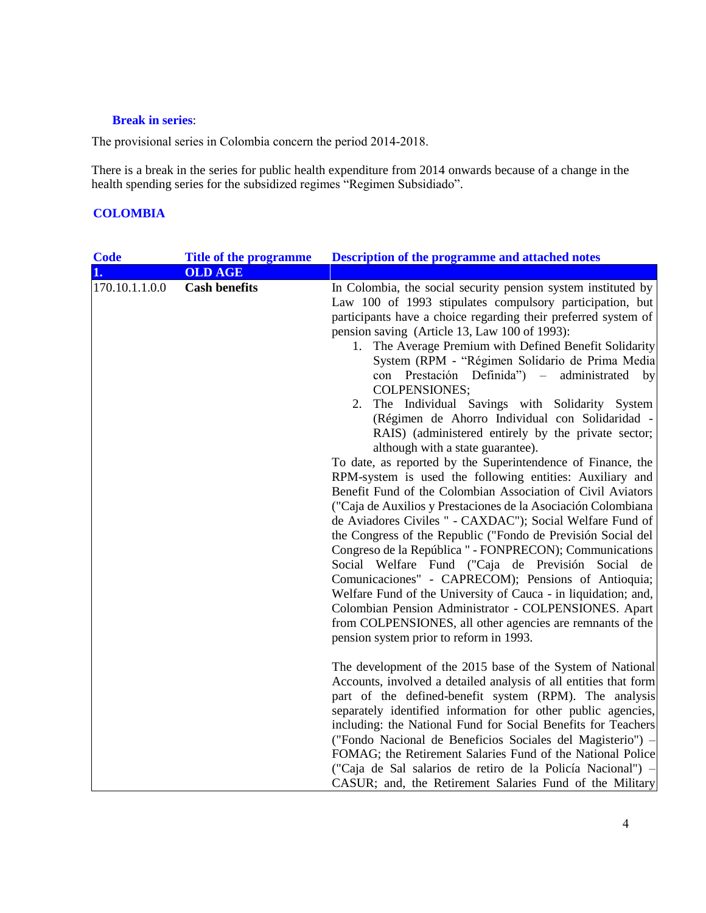## **Break in series**:

The provisional series in Colombia concern the period 2014-2018.

There is a break in the series for public health expenditure from 2014 onwards because of a change in the health spending series for the subsidized regimes "Regimen Subsidiado".

# **COLOMBIA**

| <b>Code</b>    | <b>Title of the programme</b> | <b>Description of the programme and attached notes</b>                                                                                                                                                                                                                                                                                                                                                                                                                                                                                                                                                                                                                                                                                                                                                                                                                                                                                                                                                                                                                                                                                                                                                                                                                                                                                                                                                                                          |
|----------------|-------------------------------|-------------------------------------------------------------------------------------------------------------------------------------------------------------------------------------------------------------------------------------------------------------------------------------------------------------------------------------------------------------------------------------------------------------------------------------------------------------------------------------------------------------------------------------------------------------------------------------------------------------------------------------------------------------------------------------------------------------------------------------------------------------------------------------------------------------------------------------------------------------------------------------------------------------------------------------------------------------------------------------------------------------------------------------------------------------------------------------------------------------------------------------------------------------------------------------------------------------------------------------------------------------------------------------------------------------------------------------------------------------------------------------------------------------------------------------------------|
| 1.             | <b>OLD AGE</b>                |                                                                                                                                                                                                                                                                                                                                                                                                                                                                                                                                                                                                                                                                                                                                                                                                                                                                                                                                                                                                                                                                                                                                                                                                                                                                                                                                                                                                                                                 |
| 170.10.1.1.0.0 | <b>Cash benefits</b>          | In Colombia, the social security pension system instituted by<br>Law 100 of 1993 stipulates compulsory participation, but<br>participants have a choice regarding their preferred system of<br>pension saving (Article 13, Law 100 of 1993):<br>1. The Average Premium with Defined Benefit Solidarity<br>System (RPM - "Régimen Solidario de Prima Media<br>con Prestación Definida") –<br>administrated<br>by<br><b>COLPENSIONES;</b><br>The Individual Savings with Solidarity System<br>2.<br>(Régimen de Ahorro Individual con Solidaridad -<br>RAIS) (administered entirely by the private sector;<br>although with a state guarantee).<br>To date, as reported by the Superintendence of Finance, the<br>RPM-system is used the following entities: Auxiliary and<br>Benefit Fund of the Colombian Association of Civil Aviators<br>("Caja de Auxilios y Prestaciones de la Asociación Colombiana<br>de Aviadores Civiles " - CAXDAC"); Social Welfare Fund of<br>the Congress of the Republic ("Fondo de Previsión Social del<br>Congreso de la República " - FONPRECON); Communications<br>Social Welfare Fund ("Caja de Previsión Social de<br>Comunicaciones" - CAPRECOM); Pensions of Antioquia;<br>Welfare Fund of the University of Cauca - in liquidation; and,<br>Colombian Pension Administrator - COLPENSIONES. Apart<br>from COLPENSIONES, all other agencies are remnants of the<br>pension system prior to reform in 1993. |
|                |                               | The development of the 2015 base of the System of National<br>Accounts, involved a detailed analysis of all entities that form<br>part of the defined-benefit system (RPM). The analysis<br>separately identified information for other public agencies,<br>including: the National Fund for Social Benefits for Teachers<br>("Fondo Nacional de Beneficios Sociales del Magisterio") –<br>FOMAG; the Retirement Salaries Fund of the National Police<br>("Caja de Sal salarios de retiro de la Policía Nacional") –<br>CASUR; and, the Retirement Salaries Fund of the Military                                                                                                                                                                                                                                                                                                                                                                                                                                                                                                                                                                                                                                                                                                                                                                                                                                                                |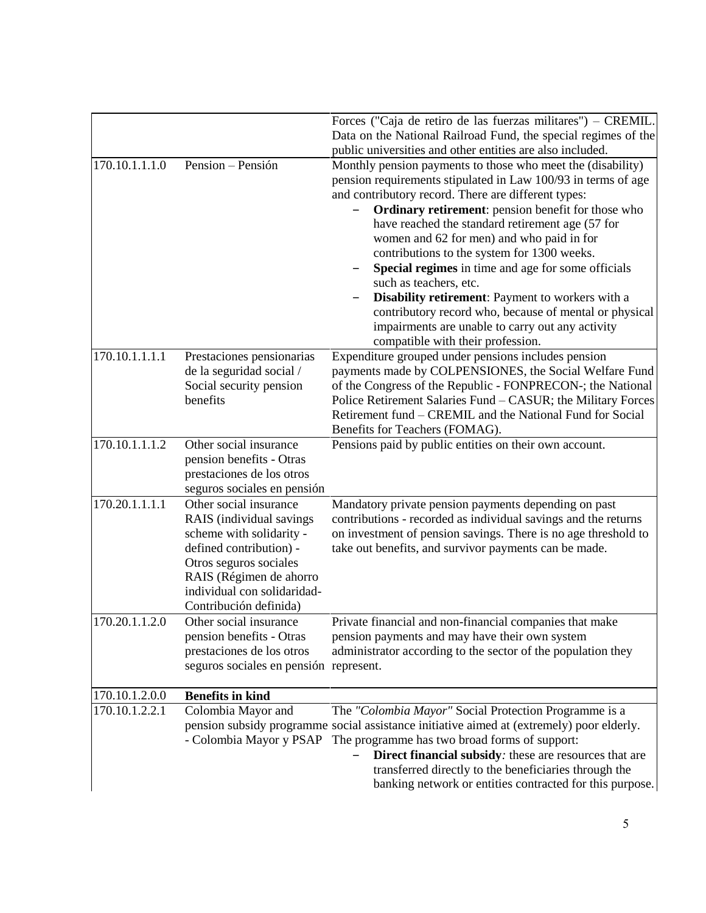|                |                                                                                                                                                                                                                         | Forces ("Caja de retiro de las fuerzas militares") – CREMIL.<br>Data on the National Railroad Fund, the special regimes of the                                                                                                                                                                                                                                                                                                                                                                                                                                                                                                                                                   |
|----------------|-------------------------------------------------------------------------------------------------------------------------------------------------------------------------------------------------------------------------|----------------------------------------------------------------------------------------------------------------------------------------------------------------------------------------------------------------------------------------------------------------------------------------------------------------------------------------------------------------------------------------------------------------------------------------------------------------------------------------------------------------------------------------------------------------------------------------------------------------------------------------------------------------------------------|
|                |                                                                                                                                                                                                                         | public universities and other entities are also included.                                                                                                                                                                                                                                                                                                                                                                                                                                                                                                                                                                                                                        |
| 170.10.1.1.1.0 | Pension - Pensión                                                                                                                                                                                                       | Monthly pension payments to those who meet the (disability)<br>pension requirements stipulated in Law 100/93 in terms of age<br>and contributory record. There are different types:<br>Ordinary retirement: pension benefit for those who<br>have reached the standard retirement age (57 for<br>women and 62 for men) and who paid in for<br>contributions to the system for 1300 weeks.<br>Special regimes in time and age for some officials<br>such as teachers, etc.<br>Disability retirement: Payment to workers with a<br>contributory record who, because of mental or physical<br>impairments are unable to carry out any activity<br>compatible with their profession. |
| 170.10.1.1.1.1 | Prestaciones pensionarias<br>de la seguridad social /<br>Social security pension<br>benefits                                                                                                                            | Expenditure grouped under pensions includes pension<br>payments made by COLPENSIONES, the Social Welfare Fund<br>of the Congress of the Republic - FONPRECON-; the National<br>Police Retirement Salaries Fund - CASUR; the Military Forces<br>Retirement fund – CREMIL and the National Fund for Social<br>Benefits for Teachers (FOMAG).                                                                                                                                                                                                                                                                                                                                       |
| 170.10.1.1.1.2 | Other social insurance<br>pension benefits - Otras<br>prestaciones de los otros<br>seguros sociales en pensión                                                                                                          | Pensions paid by public entities on their own account.                                                                                                                                                                                                                                                                                                                                                                                                                                                                                                                                                                                                                           |
| 170.20.1.1.1.1 | Other social insurance<br>RAIS (individual savings<br>scheme with solidarity -<br>defined contribution) -<br>Otros seguros sociales<br>RAIS (Régimen de ahorro<br>individual con solidaridad-<br>Contribución definida) | Mandatory private pension payments depending on past<br>contributions - recorded as individual savings and the returns<br>on investment of pension savings. There is no age threshold to<br>take out benefits, and survivor payments can be made.                                                                                                                                                                                                                                                                                                                                                                                                                                |
| 170.20.1.1.2.0 | Other social insurance<br>pension benefits - Otras<br>prestaciones de los otros<br>seguros sociales en pensión represent.                                                                                               | Private financial and non-financial companies that make<br>pension payments and may have their own system<br>administrator according to the sector of the population they                                                                                                                                                                                                                                                                                                                                                                                                                                                                                                        |
| 170.10.1.2.0.0 | <b>Benefits in kind</b>                                                                                                                                                                                                 |                                                                                                                                                                                                                                                                                                                                                                                                                                                                                                                                                                                                                                                                                  |
| 170.10.1.2.2.1 | Colombia Mayor and<br>- Colombia Mayor y PSAP                                                                                                                                                                           | The "Colombia Mayor" Social Protection Programme is a<br>pension subsidy programme social assistance initiative aimed at (extremely) poor elderly.<br>The programme has two broad forms of support:<br>Direct financial subsidy: these are resources that are<br>transferred directly to the beneficiaries through the<br>banking network or entities contracted for this purpose.                                                                                                                                                                                                                                                                                               |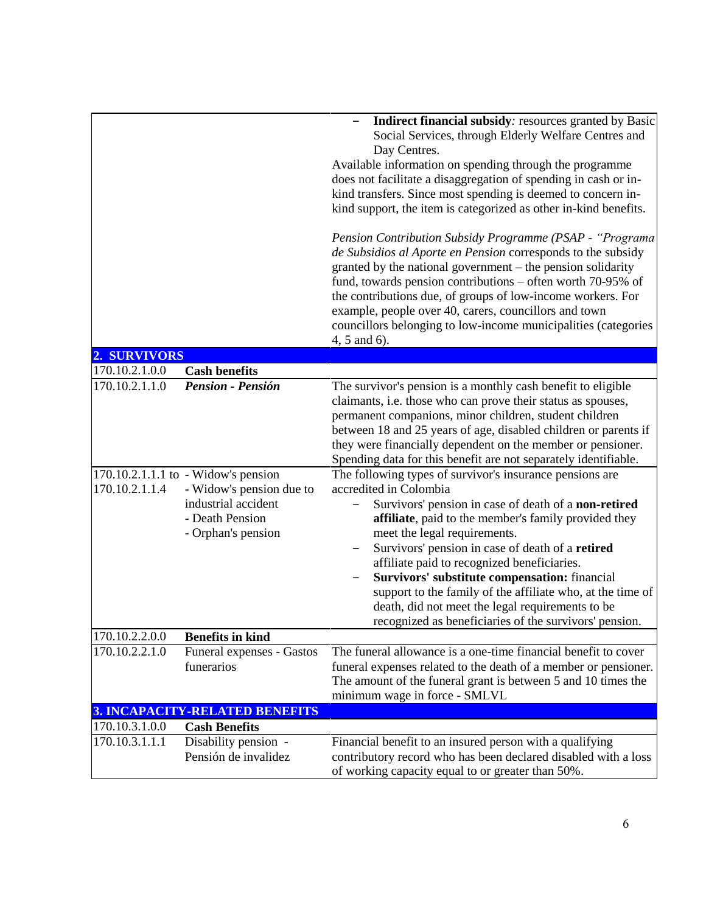|                                  |                                                                                                                                                             | Indirect financial subsidy: resources granted by Basic<br>Social Services, through Elderly Welfare Centres and<br>Day Centres.<br>Available information on spending through the programme<br>does not facilitate a disaggregation of spending in cash or in-<br>kind transfers. Since most spending is deemed to concern in-<br>kind support, the item is categorized as other in-kind benefits.<br>Pension Contribution Subsidy Programme (PSAP - "Programa"<br>de Subsidios al Aporte en Pension corresponds to the subsidy<br>granted by the national government – the pension solidarity<br>fund, towards pension contributions – often worth $70-95%$ of<br>the contributions due, of groups of low-income workers. For<br>example, people over 40, carers, councillors and town<br>councillors belonging to low-income municipalities (categories<br>4, 5 and 6).                                                                                           |
|----------------------------------|-------------------------------------------------------------------------------------------------------------------------------------------------------------|-------------------------------------------------------------------------------------------------------------------------------------------------------------------------------------------------------------------------------------------------------------------------------------------------------------------------------------------------------------------------------------------------------------------------------------------------------------------------------------------------------------------------------------------------------------------------------------------------------------------------------------------------------------------------------------------------------------------------------------------------------------------------------------------------------------------------------------------------------------------------------------------------------------------------------------------------------------------|
| 2. SURVIVORS                     |                                                                                                                                                             |                                                                                                                                                                                                                                                                                                                                                                                                                                                                                                                                                                                                                                                                                                                                                                                                                                                                                                                                                                   |
| 170.10.2.1.0.0                   | <b>Cash benefits</b>                                                                                                                                        |                                                                                                                                                                                                                                                                                                                                                                                                                                                                                                                                                                                                                                                                                                                                                                                                                                                                                                                                                                   |
| 170.10.2.1.1.0<br>170.10.2.1.1.4 | <b>Pension - Pensión</b><br>170.10.2.1.1.1 to - Widow's pension<br>- Widow's pension due to<br>industrial accident<br>- Death Pension<br>- Orphan's pension | The survivor's pension is a monthly cash benefit to eligible<br>claimants, i.e. those who can prove their status as spouses,<br>permanent companions, minor children, student children<br>between 18 and 25 years of age, disabled children or parents if<br>they were financially dependent on the member or pensioner.<br>Spending data for this benefit are not separately identifiable.<br>The following types of survivor's insurance pensions are<br>accredited in Colombia<br>Survivors' pension in case of death of a non-retired<br>affiliate, paid to the member's family provided they<br>meet the legal requirements.<br>Survivors' pension in case of death of a retired<br>affiliate paid to recognized beneficiaries.<br>Survivors' substitute compensation: financial<br>support to the family of the affiliate who, at the time of<br>death, did not meet the legal requirements to be<br>recognized as beneficiaries of the survivors' pension. |
| 170.10.2.2.0.0                   | <b>Benefits in kind</b>                                                                                                                                     |                                                                                                                                                                                                                                                                                                                                                                                                                                                                                                                                                                                                                                                                                                                                                                                                                                                                                                                                                                   |
| 170.10.2.2.1.0                   | Funeral expenses - Gastos<br>funerarios                                                                                                                     | The funeral allowance is a one-time financial benefit to cover<br>funeral expenses related to the death of a member or pensioner.<br>The amount of the funeral grant is between 5 and 10 times the<br>minimum wage in force - SMLVL                                                                                                                                                                                                                                                                                                                                                                                                                                                                                                                                                                                                                                                                                                                               |
|                                  | <b>3. INCAPACITY-RELATED BENEFITS</b>                                                                                                                       |                                                                                                                                                                                                                                                                                                                                                                                                                                                                                                                                                                                                                                                                                                                                                                                                                                                                                                                                                                   |
| 170.10.3.1.0.0<br>170.10.3.1.1.1 | <b>Cash Benefits</b><br>Disability pension -<br>Pensión de invalidez                                                                                        | Financial benefit to an insured person with a qualifying<br>contributory record who has been declared disabled with a loss<br>of working capacity equal to or greater than 50%.                                                                                                                                                                                                                                                                                                                                                                                                                                                                                                                                                                                                                                                                                                                                                                                   |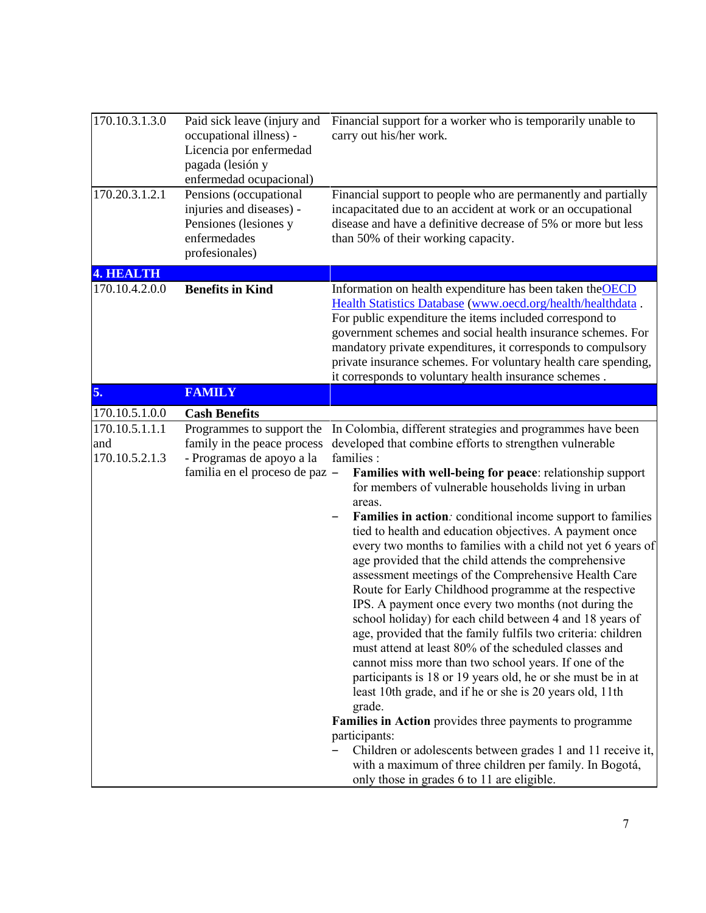| 170.10.3.1.3.0                          | Paid sick leave (injury and<br>occupational illness) -<br>Licencia por enfermedad<br>pagada (lesión y<br>enfermedad ocupacional) | Financial support for a worker who is temporarily unable to<br>carry out his/her work.                                                                                                                                                                                                                                                                                                                                                                                                                                                                                                                                                                                                                                                                                                                                                                                                                                                                                                                                                                                                                                                                                                                                     |
|-----------------------------------------|----------------------------------------------------------------------------------------------------------------------------------|----------------------------------------------------------------------------------------------------------------------------------------------------------------------------------------------------------------------------------------------------------------------------------------------------------------------------------------------------------------------------------------------------------------------------------------------------------------------------------------------------------------------------------------------------------------------------------------------------------------------------------------------------------------------------------------------------------------------------------------------------------------------------------------------------------------------------------------------------------------------------------------------------------------------------------------------------------------------------------------------------------------------------------------------------------------------------------------------------------------------------------------------------------------------------------------------------------------------------|
| 170.20.3.1.2.1                          | Pensions (occupational<br>injuries and diseases) -<br>Pensiones (lesiones y<br>enfermedades<br>profesionales)                    | Financial support to people who are permanently and partially<br>incapacitated due to an accident at work or an occupational<br>disease and have a definitive decrease of 5% or more but less<br>than 50% of their working capacity.                                                                                                                                                                                                                                                                                                                                                                                                                                                                                                                                                                                                                                                                                                                                                                                                                                                                                                                                                                                       |
| <b>4. HEALTH</b>                        |                                                                                                                                  |                                                                                                                                                                                                                                                                                                                                                                                                                                                                                                                                                                                                                                                                                                                                                                                                                                                                                                                                                                                                                                                                                                                                                                                                                            |
| 170.10.4.2.0.0                          | <b>Benefits in Kind</b>                                                                                                          | Information on health expenditure has been taken the OECD<br>Health Statistics Database (www.oecd.org/health/healthdata.<br>For public expenditure the items included correspond to<br>government schemes and social health insurance schemes. For<br>mandatory private expenditures, it corresponds to compulsory<br>private insurance schemes. For voluntary health care spending,<br>it corresponds to voluntary health insurance schemes.                                                                                                                                                                                                                                                                                                                                                                                                                                                                                                                                                                                                                                                                                                                                                                              |
| 5.                                      | <b>FAMILY</b>                                                                                                                    |                                                                                                                                                                                                                                                                                                                                                                                                                                                                                                                                                                                                                                                                                                                                                                                                                                                                                                                                                                                                                                                                                                                                                                                                                            |
| 170.10.5.1.0.0                          | <b>Cash Benefits</b>                                                                                                             |                                                                                                                                                                                                                                                                                                                                                                                                                                                                                                                                                                                                                                                                                                                                                                                                                                                                                                                                                                                                                                                                                                                                                                                                                            |
| 170.10.5.1.1.1<br>and<br>170.10.5.2.1.3 | Programmes to support the<br>family in the peace process<br>- Programas de apoyo a la<br>familia en el proceso de paz -          | In Colombia, different strategies and programmes have been<br>developed that combine efforts to strengthen vulnerable<br>families :<br>Families with well-being for peace: relationship support<br>for members of vulnerable households living in urban<br>areas.<br>Families in action: conditional income support to families<br>tied to health and education objectives. A payment once<br>every two months to families with a child not yet 6 years of<br>age provided that the child attends the comprehensive<br>assessment meetings of the Comprehensive Health Care<br>Route for Early Childhood programme at the respective<br>IPS. A payment once every two months (not during the<br>school holiday) for each child between 4 and 18 years of<br>age, provided that the family fulfils two criteria: children<br>must attend at least 80% of the scheduled classes and<br>cannot miss more than two school years. If one of the<br>participants is 18 or 19 years old, he or she must be in at<br>least 10th grade, and if he or she is 20 years old, 11th<br>grade.<br>Families in Action provides three payments to programme<br>participants:<br>Children or adolescents between grades 1 and 11 receive it, |
|                                         |                                                                                                                                  | with a maximum of three children per family. In Bogotá,<br>only those in grades 6 to 11 are eligible.                                                                                                                                                                                                                                                                                                                                                                                                                                                                                                                                                                                                                                                                                                                                                                                                                                                                                                                                                                                                                                                                                                                      |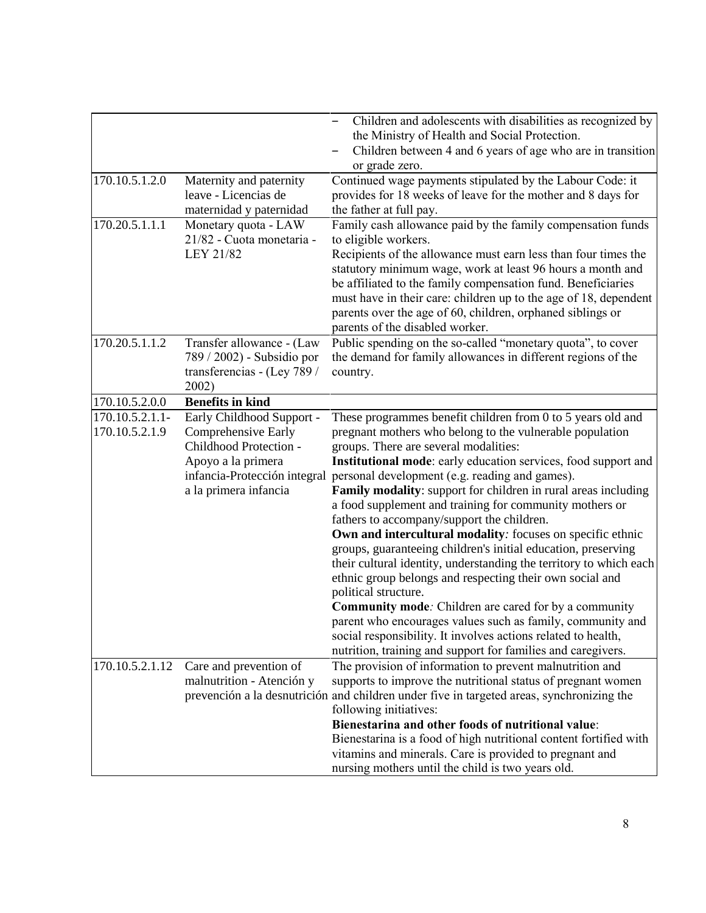|                               |                                                                                                 | Children and adolescents with disabilities as recognized by<br>the Ministry of Health and Social Protection.<br>Children between 4 and 6 years of age who are in transition<br>or grade zero.                                                                                                                                                                                                                                                            |
|-------------------------------|-------------------------------------------------------------------------------------------------|----------------------------------------------------------------------------------------------------------------------------------------------------------------------------------------------------------------------------------------------------------------------------------------------------------------------------------------------------------------------------------------------------------------------------------------------------------|
| 170.10.5.1.2.0                | Maternity and paternity<br>leave - Licencias de<br>maternidad y paternidad                      | Continued wage payments stipulated by the Labour Code: it<br>provides for 18 weeks of leave for the mother and 8 days for<br>the father at full pay.                                                                                                                                                                                                                                                                                                     |
| 170.20.5.1.1.1                | Monetary quota - LAW<br>21/82 - Cuota monetaria -<br>LEY 21/82                                  | Family cash allowance paid by the family compensation funds<br>to eligible workers.<br>Recipients of the allowance must earn less than four times the<br>statutory minimum wage, work at least 96 hours a month and<br>be affiliated to the family compensation fund. Beneficiaries<br>must have in their care: children up to the age of 18, dependent<br>parents over the age of 60, children, orphaned siblings or<br>parents of the disabled worker. |
| 170.20.5.1.1.2                | Transfer allowance - (Law<br>789 / 2002) - Subsidio por<br>transferencias - (Ley 789 /<br>2002) | Public spending on the so-called "monetary quota", to cover<br>the demand for family allowances in different regions of the<br>country.                                                                                                                                                                                                                                                                                                                  |
| 170.10.5.2.0.0                | <b>Benefits in kind</b>                                                                         |                                                                                                                                                                                                                                                                                                                                                                                                                                                          |
| $\overline{170.10.5.2.1.1}$ - | Early Childhood Support -                                                                       | These programmes benefit children from 0 to 5 years old and                                                                                                                                                                                                                                                                                                                                                                                              |
| 170.10.5.2.1.9                | Comprehensive Early                                                                             | pregnant mothers who belong to the vulnerable population                                                                                                                                                                                                                                                                                                                                                                                                 |
|                               | Childhood Protection -                                                                          | groups. There are several modalities:                                                                                                                                                                                                                                                                                                                                                                                                                    |
|                               | Apoyo a la primera                                                                              | Institutional mode: early education services, food support and                                                                                                                                                                                                                                                                                                                                                                                           |
|                               | infancia-Protección integral                                                                    | personal development (e.g. reading and games).                                                                                                                                                                                                                                                                                                                                                                                                           |
|                               | a la primera infancia                                                                           | Family modality: support for children in rural areas including                                                                                                                                                                                                                                                                                                                                                                                           |
|                               |                                                                                                 | a food supplement and training for community mothers or                                                                                                                                                                                                                                                                                                                                                                                                  |
|                               |                                                                                                 | fathers to accompany/support the children.                                                                                                                                                                                                                                                                                                                                                                                                               |
|                               |                                                                                                 | Own and intercultural modality: focuses on specific ethnic                                                                                                                                                                                                                                                                                                                                                                                               |
|                               |                                                                                                 | groups, guaranteeing children's initial education, preserving                                                                                                                                                                                                                                                                                                                                                                                            |
|                               |                                                                                                 | their cultural identity, understanding the territory to which each                                                                                                                                                                                                                                                                                                                                                                                       |
|                               |                                                                                                 | ethnic group belongs and respecting their own social and<br>political structure.                                                                                                                                                                                                                                                                                                                                                                         |
|                               |                                                                                                 | <b>Community mode:</b> Children are cared for by a community                                                                                                                                                                                                                                                                                                                                                                                             |
|                               |                                                                                                 | parent who encourages values such as family, community and                                                                                                                                                                                                                                                                                                                                                                                               |
|                               |                                                                                                 | social responsibility. It involves actions related to health,                                                                                                                                                                                                                                                                                                                                                                                            |
|                               |                                                                                                 | nutrition, training and support for families and caregivers.                                                                                                                                                                                                                                                                                                                                                                                             |
| 170.10.5.2.1.12               | Care and prevention of                                                                          | The provision of information to prevent malnutrition and                                                                                                                                                                                                                                                                                                                                                                                                 |
|                               | malnutrition - Atención y                                                                       | supports to improve the nutritional status of pregnant women                                                                                                                                                                                                                                                                                                                                                                                             |
|                               |                                                                                                 | prevención a la desnutrición and children under five in targeted areas, synchronizing the                                                                                                                                                                                                                                                                                                                                                                |
|                               |                                                                                                 | following initiatives:                                                                                                                                                                                                                                                                                                                                                                                                                                   |
|                               |                                                                                                 | Bienestarina and other foods of nutritional value:                                                                                                                                                                                                                                                                                                                                                                                                       |
|                               |                                                                                                 | Bienestarina is a food of high nutritional content fortified with                                                                                                                                                                                                                                                                                                                                                                                        |
|                               |                                                                                                 | vitamins and minerals. Care is provided to pregnant and                                                                                                                                                                                                                                                                                                                                                                                                  |
|                               |                                                                                                 | nursing mothers until the child is two years old.                                                                                                                                                                                                                                                                                                                                                                                                        |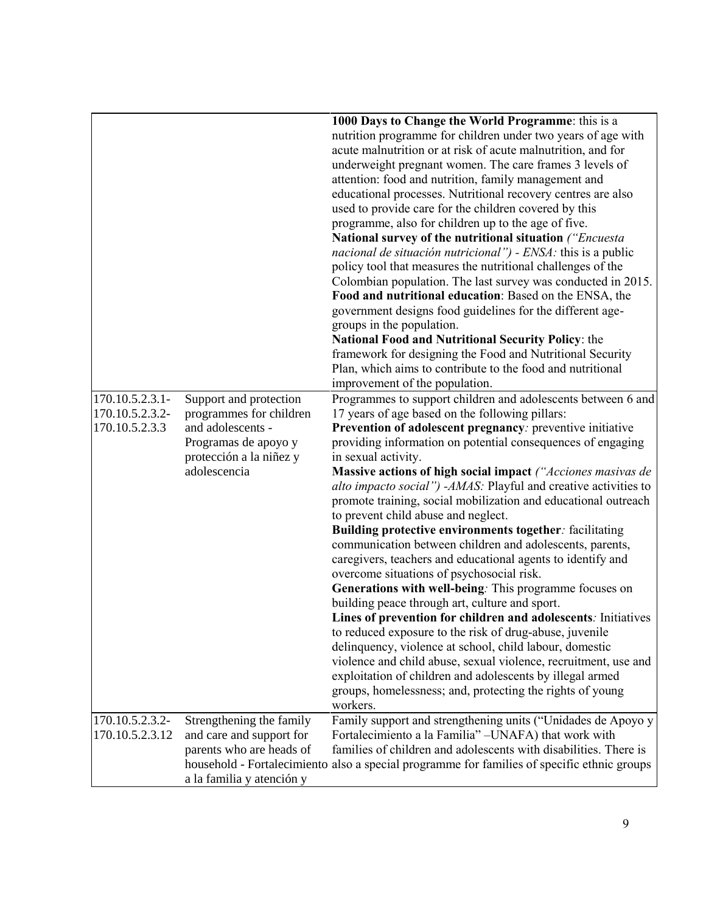|                 |                                                      | 1000 Days to Change the World Programme: this is a                                          |
|-----------------|------------------------------------------------------|---------------------------------------------------------------------------------------------|
|                 |                                                      | nutrition programme for children under two years of age with                                |
|                 |                                                      | acute malnutrition or at risk of acute malnutrition, and for                                |
|                 |                                                      | underweight pregnant women. The care frames 3 levels of                                     |
|                 |                                                      | attention: food and nutrition, family management and                                        |
|                 |                                                      | educational processes. Nutritional recovery centres are also                                |
|                 |                                                      | used to provide care for the children covered by this                                       |
|                 |                                                      | programme, also for children up to the age of five.                                         |
|                 |                                                      | National survey of the nutritional situation ("Encuesta                                     |
|                 |                                                      | nacional de situación nutricional") - ENSA: this is a public                                |
|                 |                                                      | policy tool that measures the nutritional challenges of the                                 |
|                 |                                                      | Colombian population. The last survey was conducted in 2015.                                |
|                 |                                                      | Food and nutritional education: Based on the ENSA, the                                      |
|                 |                                                      | government designs food guidelines for the different age-                                   |
|                 |                                                      | groups in the population.                                                                   |
|                 |                                                      | National Food and Nutritional Security Policy: the                                          |
|                 |                                                      | framework for designing the Food and Nutritional Security                                   |
|                 |                                                      | Plan, which aims to contribute to the food and nutritional                                  |
|                 |                                                      | improvement of the population.                                                              |
| 170.10.5.2.3.1- | Support and protection                               | Programmes to support children and adolescents between 6 and                                |
| 170.10.5.2.3.2- | programmes for children                              | 17 years of age based on the following pillars:                                             |
| 170.10.5.2.3.3  | and adolescents -                                    | Prevention of adolescent pregnancy: preventive initiative                                   |
|                 | Programas de apoyo y                                 | providing information on potential consequences of engaging                                 |
|                 | protección a la niñez y                              | in sexual activity.                                                                         |
|                 | adolescencia                                         | Massive actions of high social impact ("Acciones masivas de                                 |
|                 |                                                      | alto impacto social") -AMAS: Playful and creative activities to                             |
|                 |                                                      | promote training, social mobilization and educational outreach                              |
|                 |                                                      | to prevent child abuse and neglect.                                                         |
|                 |                                                      | Building protective environments together: facilitating                                     |
|                 |                                                      | communication between children and adolescents, parents,                                    |
|                 |                                                      | caregivers, teachers and educational agents to identify and                                 |
|                 |                                                      | overcome situations of psychosocial risk.                                                   |
|                 |                                                      | Generations with well-being. This programme focuses on                                      |
|                 |                                                      | building peace through art, culture and sport.                                              |
|                 |                                                      | Lines of prevention for children and adolescents: Initiatives                               |
|                 |                                                      | to reduced exposure to the risk of drug-abuse, juvenile                                     |
|                 |                                                      | delinquency, violence at school, child labour, domestic                                     |
|                 |                                                      | violence and child abuse, sexual violence, recruitment, use and                             |
|                 |                                                      | exploitation of children and adolescents by illegal armed                                   |
|                 |                                                      | groups, homelessness; and, protecting the rights of young                                   |
|                 |                                                      | workers.                                                                                    |
| 170.10.5.2.3.2- |                                                      | Family support and strengthening units ("Unidades de Apoyo y                                |
| 170.10.5.2.3.12 | Strengthening the family<br>and care and support for | Fortalecimiento a la Familia" - UNAFA) that work with                                       |
|                 | parents who are heads of                             | families of children and adolescents with disabilities. There is                            |
|                 |                                                      | household - Fortalecimiento also a special programme for families of specific ethnic groups |
|                 |                                                      |                                                                                             |
|                 | a la familia y atención y                            |                                                                                             |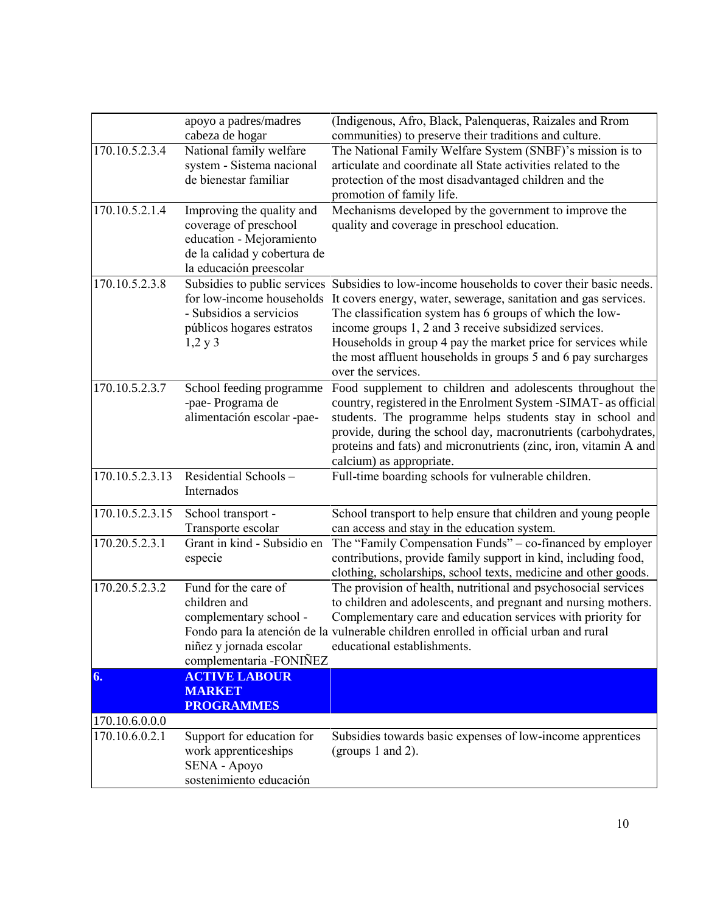|                 | apoyo a padres/madres                                                                                                                     | (Indigenous, Afro, Black, Palenqueras, Raizales and Rrom                                                                                                                                                                                                                                                                                                                                                                                    |
|-----------------|-------------------------------------------------------------------------------------------------------------------------------------------|---------------------------------------------------------------------------------------------------------------------------------------------------------------------------------------------------------------------------------------------------------------------------------------------------------------------------------------------------------------------------------------------------------------------------------------------|
|                 | cabeza de hogar                                                                                                                           | communities) to preserve their traditions and culture.                                                                                                                                                                                                                                                                                                                                                                                      |
| 170.10.5.2.3.4  | National family welfare<br>system - Sistema nacional<br>de bienestar familiar                                                             | The National Family Welfare System (SNBF)'s mission is to<br>articulate and coordinate all State activities related to the<br>protection of the most disadvantaged children and the<br>promotion of family life.                                                                                                                                                                                                                            |
| 170.10.5.2.1.4  | Improving the quality and<br>coverage of preschool<br>education - Mejoramiento<br>de la calidad y cobertura de<br>la educación preescolar | Mechanisms developed by the government to improve the<br>quality and coverage in preschool education.                                                                                                                                                                                                                                                                                                                                       |
| 170.10.5.2.3.8  | for low-income households<br>- Subsidios a servicios<br>públicos hogares estratos<br>$1,2 \text{ y } 3$                                   | Subsidies to public services Subsidies to low-income households to cover their basic needs.<br>It covers energy, water, sewerage, sanitation and gas services.<br>The classification system has 6 groups of which the low-<br>income groups 1, 2 and 3 receive subsidized services.<br>Households in group 4 pay the market price for services while<br>the most affluent households in groups 5 and 6 pay surcharges<br>over the services. |
| 170.10.5.2.3.7  | School feeding programme<br>-pae- Programa de<br>alimentación escolar -pae-                                                               | Food supplement to children and adolescents throughout the<br>country, registered in the Enrolment System -SIMAT- as official<br>students. The programme helps students stay in school and<br>provide, during the school day, macronutrients (carbohydrates,<br>proteins and fats) and micronutrients (zinc, iron, vitamin A and<br>calcium) as appropriate.                                                                                |
| 170.10.5.2.3.13 | Residential Schools-<br>Internados                                                                                                        | Full-time boarding schools for vulnerable children.                                                                                                                                                                                                                                                                                                                                                                                         |
| 170.10.5.2.3.15 | School transport -<br>Transporte escolar                                                                                                  | School transport to help ensure that children and young people<br>can access and stay in the education system.                                                                                                                                                                                                                                                                                                                              |
| 170.20.5.2.3.1  | Grant in kind - Subsidio en<br>especie                                                                                                    | The "Family Compensation Funds" – co-financed by employer<br>contributions, provide family support in kind, including food,<br>clothing, scholarships, school texts, medicine and other goods.                                                                                                                                                                                                                                              |
| 170.20.5.2.3.2  | Fund for the care of<br>children and<br>complementary school -<br>niñez y jornada escolar<br>complementaria -FONIÑEZ                      | The provision of health, nutritional and psychosocial services<br>to children and adolescents, and pregnant and nursing mothers.<br>Complementary care and education services with priority for<br>Fondo para la atención de la vulnerable children enrolled in official urban and rural<br>educational establishments.                                                                                                                     |
| 6.              | <b>ACTIVE LABOUR</b><br><b>MARKET</b><br><b>PROGRAMMES</b>                                                                                |                                                                                                                                                                                                                                                                                                                                                                                                                                             |
| 170.10.6.0.0.0  |                                                                                                                                           |                                                                                                                                                                                                                                                                                                                                                                                                                                             |
| 170.10.6.0.2.1  | Support for education for<br>work apprenticeships<br>SENA - Apoyo<br>sostenimiento educación                                              | Subsidies towards basic expenses of low-income apprentices<br>(groups 1 and 2).                                                                                                                                                                                                                                                                                                                                                             |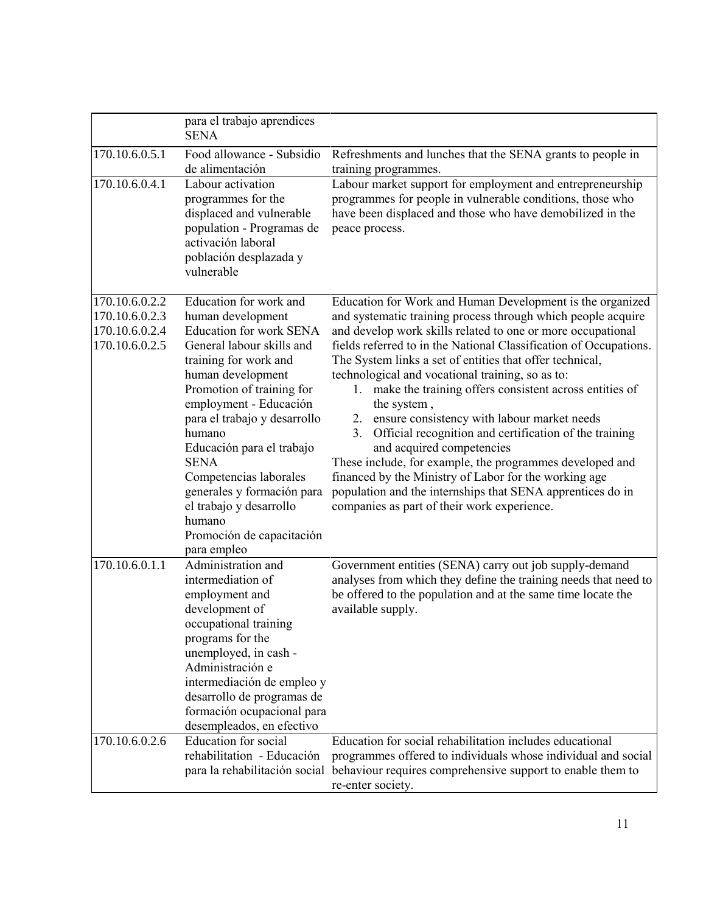|                                                                      | para el trabajo aprendices<br><b>SENA</b>                                                                                                                                                                                                                                                                                                                                                                                       |                                                                                                                                                                                                                                                                                                                                                                                                                                                                                                                                                                                                                                                                                                                                                                                                                                            |
|----------------------------------------------------------------------|---------------------------------------------------------------------------------------------------------------------------------------------------------------------------------------------------------------------------------------------------------------------------------------------------------------------------------------------------------------------------------------------------------------------------------|--------------------------------------------------------------------------------------------------------------------------------------------------------------------------------------------------------------------------------------------------------------------------------------------------------------------------------------------------------------------------------------------------------------------------------------------------------------------------------------------------------------------------------------------------------------------------------------------------------------------------------------------------------------------------------------------------------------------------------------------------------------------------------------------------------------------------------------------|
| 170.10.6.0.5.1                                                       | Food allowance - Subsidio<br>de alimentación                                                                                                                                                                                                                                                                                                                                                                                    | Refreshments and lunches that the SENA grants to people in<br>training programmes.                                                                                                                                                                                                                                                                                                                                                                                                                                                                                                                                                                                                                                                                                                                                                         |
| 170.10.6.0.4.1                                                       | Labour activation<br>programmes for the<br>displaced and vulnerable<br>population - Programas de<br>activación laboral<br>población desplazada y<br>vulnerable                                                                                                                                                                                                                                                                  | Labour market support for employment and entrepreneurship<br>programmes for people in vulnerable conditions, those who<br>have been displaced and those who have demobilized in the<br>peace process.                                                                                                                                                                                                                                                                                                                                                                                                                                                                                                                                                                                                                                      |
| 170.10.6.0.2.2<br>170.10.6.0.2.3<br>170.10.6.0.2.4<br>170.10.6.0.2.5 | Education for work and<br>human development<br><b>Education for work SENA</b><br>General labour skills and<br>training for work and<br>human development<br>Promotion of training for<br>employment - Educación<br>para el trabajo y desarrollo<br>humano<br>Educación para el trabajo<br><b>SENA</b><br>Competencias laborales<br>generales y formación para<br>el trabajo y desarrollo<br>humano<br>Promoción de capacitación | Education for Work and Human Development is the organized<br>and systematic training process through which people acquire<br>and develop work skills related to one or more occupational<br>fields referred to in the National Classification of Occupations.<br>The System links a set of entities that offer technical,<br>technological and vocational training, so as to:<br>1. make the training offers consistent across entities of<br>the system,<br>2. ensure consistency with labour market needs<br>Official recognition and certification of the training<br>3.<br>and acquired competencies<br>These include, for example, the programmes developed and<br>financed by the Ministry of Labor for the working age<br>population and the internships that SENA apprentices do in<br>companies as part of their work experience. |
| 170.10.6.0.1.1                                                       | para empleo<br>Administration and<br>intermediation of<br>employment and<br>development of<br>occupational training<br>programs for the<br>unemployed, in cash -<br>Administración e<br>intermediación de empleo y<br>desarrollo de programas de<br>formación ocupacional para<br>desempleados, en efectivo                                                                                                                     | Government entities (SENA) carry out job supply-demand<br>analyses from which they define the training needs that need to<br>be offered to the population and at the same time locate the<br>available supply.                                                                                                                                                                                                                                                                                                                                                                                                                                                                                                                                                                                                                             |
| 170.10.6.0.2.6                                                       | <b>Education</b> for social<br>rehabilitation - Educación                                                                                                                                                                                                                                                                                                                                                                       | Education for social rehabilitation includes educational<br>programmes offered to individuals whose individual and social<br>para la rehabilitación social behaviour requires comprehensive support to enable them to<br>re-enter society.                                                                                                                                                                                                                                                                                                                                                                                                                                                                                                                                                                                                 |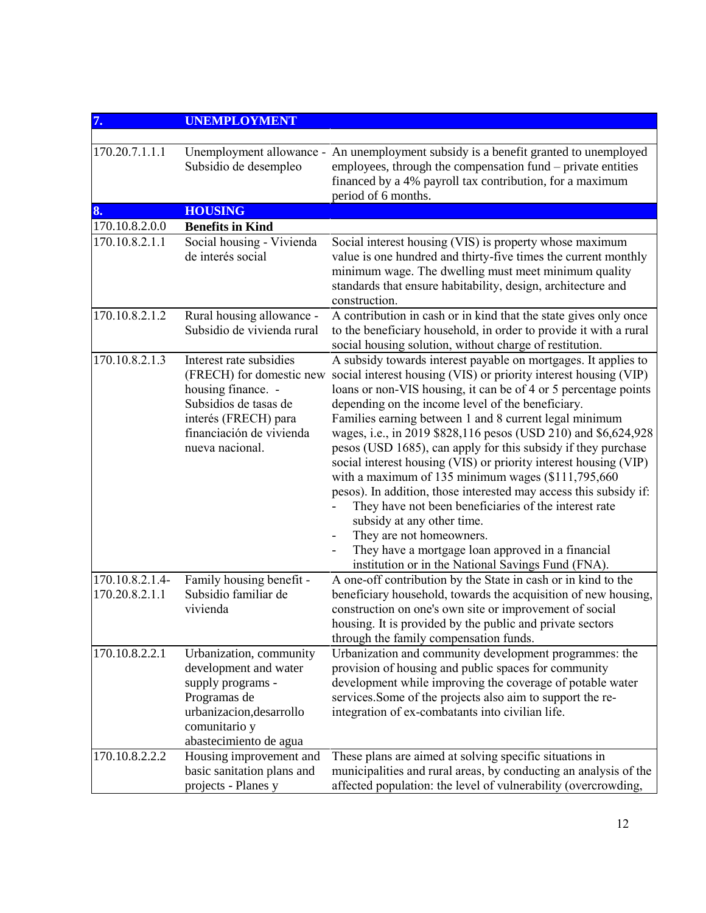| 7.                                | <b>UNEMPLOYMENT</b>                                                                                                                                                       |                                                                                                                                                                                                                                                                                                                                                                                                                                                                                                                                                                                                                                                                                                                                                                                                                                                                                        |
|-----------------------------------|---------------------------------------------------------------------------------------------------------------------------------------------------------------------------|----------------------------------------------------------------------------------------------------------------------------------------------------------------------------------------------------------------------------------------------------------------------------------------------------------------------------------------------------------------------------------------------------------------------------------------------------------------------------------------------------------------------------------------------------------------------------------------------------------------------------------------------------------------------------------------------------------------------------------------------------------------------------------------------------------------------------------------------------------------------------------------|
| 170.20.7.1.1.1                    | Unemployment allowance -<br>Subsidio de desempleo                                                                                                                         | An unemployment subsidy is a benefit granted to unemployed<br>employees, through the compensation fund – private entities<br>financed by a 4% payroll tax contribution, for a maximum<br>period of 6 months.                                                                                                                                                                                                                                                                                                                                                                                                                                                                                                                                                                                                                                                                           |
| 8.                                | <b>HOUSING</b>                                                                                                                                                            |                                                                                                                                                                                                                                                                                                                                                                                                                                                                                                                                                                                                                                                                                                                                                                                                                                                                                        |
| 170.10.8.2.0.0                    | <b>Benefits in Kind</b>                                                                                                                                                   |                                                                                                                                                                                                                                                                                                                                                                                                                                                                                                                                                                                                                                                                                                                                                                                                                                                                                        |
| 170.10.8.2.1.1                    | Social housing - Vivienda<br>de interés social                                                                                                                            | Social interest housing (VIS) is property whose maximum<br>value is one hundred and thirty-five times the current monthly<br>minimum wage. The dwelling must meet minimum quality<br>standards that ensure habitability, design, architecture and<br>construction.                                                                                                                                                                                                                                                                                                                                                                                                                                                                                                                                                                                                                     |
| $170.10.8.2.1.\overline{2}$       | Rural housing allowance -<br>Subsidio de vivienda rural                                                                                                                   | A contribution in cash or in kind that the state gives only once<br>to the beneficiary household, in order to provide it with a rural<br>social housing solution, without charge of restitution.                                                                                                                                                                                                                                                                                                                                                                                                                                                                                                                                                                                                                                                                                       |
| $170.10.8.2.1.\overline{3}$       | Interest rate subsidies<br>(FRECH) for domestic new<br>housing finance. -<br>Subsidios de tasas de<br>interés (FRECH) para<br>financiación de vivienda<br>nueva nacional. | A subsidy towards interest payable on mortgages. It applies to<br>social interest housing (VIS) or priority interest housing (VIP)<br>loans or non-VIS housing, it can be of 4 or 5 percentage points<br>depending on the income level of the beneficiary.<br>Families earning between 1 and 8 current legal minimum<br>wages, i.e., in 2019 \$828,116 pesos (USD 210) and \$6,624,928<br>pesos (USD 1685), can apply for this subsidy if they purchase<br>social interest housing (VIS) or priority interest housing (VIP)<br>with a maximum of 135 minimum wages $(\$111,795,660$<br>pesos). In addition, those interested may access this subsidy if:<br>They have not been beneficiaries of the interest rate<br>subsidy at any other time.<br>They are not homeowners.<br>They have a mortgage loan approved in a financial<br>institution or in the National Savings Fund (FNA). |
| 170.10.8.2.1.4-<br>170.20.8.2.1.1 | Family housing benefit -<br>Subsidio familiar de<br>vivienda                                                                                                              | A one-off contribution by the State in cash or in kind to the<br>beneficiary household, towards the acquisition of new housing,<br>construction on one's own site or improvement of social<br>housing. It is provided by the public and private sectors<br>through the family compensation funds.                                                                                                                                                                                                                                                                                                                                                                                                                                                                                                                                                                                      |
| 170.10.8.2.2.1                    | Urbanization, community<br>development and water<br>supply programs -<br>Programas de<br>urbanizacion, desarrollo<br>comunitario y<br>abastecimiento de agua              | Urbanization and community development programmes: the<br>provision of housing and public spaces for community<br>development while improving the coverage of potable water<br>services. Some of the projects also aim to support the re-<br>integration of ex-combatants into civilian life.                                                                                                                                                                                                                                                                                                                                                                                                                                                                                                                                                                                          |
| 170.10.8.2.2.2                    | Housing improvement and<br>basic sanitation plans and<br>projects - Planes y                                                                                              | These plans are aimed at solving specific situations in<br>municipalities and rural areas, by conducting an analysis of the<br>affected population: the level of vulnerability (overcrowding,                                                                                                                                                                                                                                                                                                                                                                                                                                                                                                                                                                                                                                                                                          |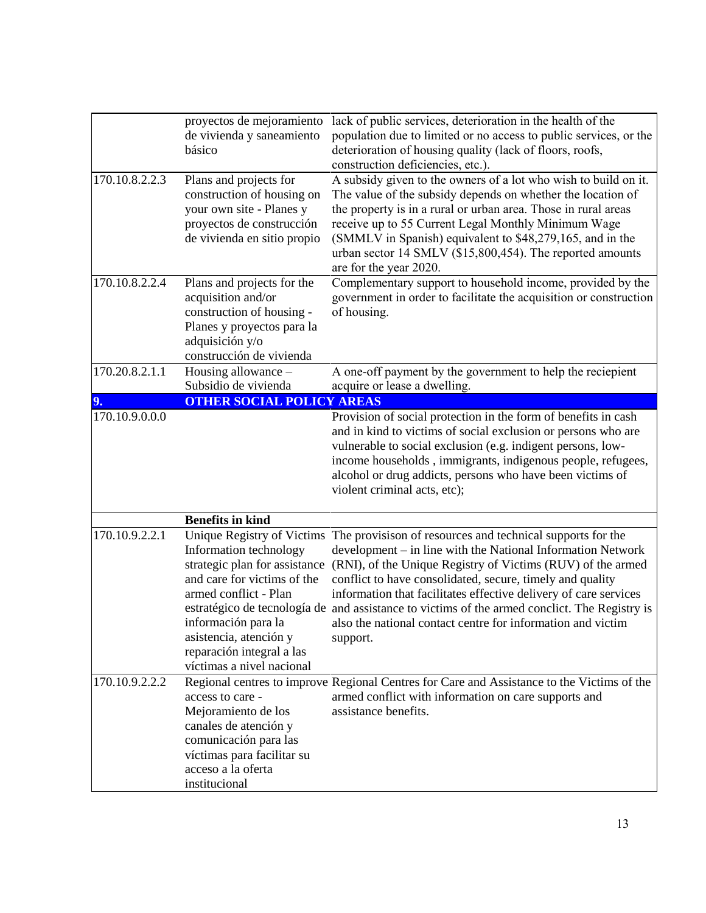|                | proyectos de mejoramiento<br>de vivienda y saneamiento<br>básico                                                                                                                                                                                         | lack of public services, deterioration in the health of the<br>population due to limited or no access to public services, or the<br>deterioration of housing quality (lack of floors, roofs,<br>construction deficiencies, etc.).                                                                                                                                                                                                                                                                     |
|----------------|----------------------------------------------------------------------------------------------------------------------------------------------------------------------------------------------------------------------------------------------------------|-------------------------------------------------------------------------------------------------------------------------------------------------------------------------------------------------------------------------------------------------------------------------------------------------------------------------------------------------------------------------------------------------------------------------------------------------------------------------------------------------------|
| 170.10.8.2.2.3 | Plans and projects for<br>construction of housing on<br>your own site - Planes y<br>proyectos de construcción<br>de vivienda en sitio propio                                                                                                             | A subsidy given to the owners of a lot who wish to build on it.<br>The value of the subsidy depends on whether the location of<br>the property is in a rural or urban area. Those in rural areas<br>receive up to 55 Current Legal Monthly Minimum Wage<br>(SMMLV in Spanish) equivalent to \$48,279,165, and in the<br>urban sector 14 SMLV (\$15,800,454). The reported amounts<br>are for the year 2020.                                                                                           |
| 170.10.8.2.2.4 | Plans and projects for the<br>acquisition and/or<br>construction of housing -<br>Planes y proyectos para la<br>adquisición y/o<br>construcción de vivienda                                                                                               | Complementary support to household income, provided by the<br>government in order to facilitate the acquisition or construction<br>of housing.                                                                                                                                                                                                                                                                                                                                                        |
| 170.20.8.2.1.1 | Housing allowance -<br>Subsidio de vivienda                                                                                                                                                                                                              | A one-off payment by the government to help the reciepient<br>acquire or lease a dwelling.                                                                                                                                                                                                                                                                                                                                                                                                            |
| 9.             | <b>OTHER SOCIAL POLICY AREAS</b>                                                                                                                                                                                                                         |                                                                                                                                                                                                                                                                                                                                                                                                                                                                                                       |
| 170.10.9.0.0.0 |                                                                                                                                                                                                                                                          | Provision of social protection in the form of benefits in cash<br>and in kind to victims of social exclusion or persons who are<br>vulnerable to social exclusion (e.g. indigent persons, low-<br>income households, immigrants, indigenous people, refugees,<br>alcohol or drug addicts, persons who have been victims of<br>violent criminal acts, etc);                                                                                                                                            |
|                | <b>Benefits in kind</b>                                                                                                                                                                                                                                  |                                                                                                                                                                                                                                                                                                                                                                                                                                                                                                       |
| 170.10.9.2.2.1 | Unique Registry of Victims<br>Information technology<br>strategic plan for assistance<br>and care for victims of the<br>armed conflict - Plan<br>información para la<br>asistencia, atención y<br>reparación integral a las<br>víctimas a nivel nacional | The provisison of resources and technical supports for the<br>development – in line with the National Information Network<br>(RNI), of the Unique Registry of Victims (RUV) of the armed<br>conflict to have consolidated, secure, timely and quality<br>information that facilitates effective delivery of care services<br>estratégico de tecnología de and assistance to victims of the armed conclict. The Registry is<br>also the national contact centre for information and victim<br>support. |
| 170.10.9.2.2.2 | access to care -<br>Mejoramiento de los<br>canales de atención y<br>comunicación para las<br>víctimas para facilitar su<br>acceso a la oferta<br>institucional                                                                                           | Regional centres to improve Regional Centres for Care and Assistance to the Victims of the<br>armed conflict with information on care supports and<br>assistance benefits.                                                                                                                                                                                                                                                                                                                            |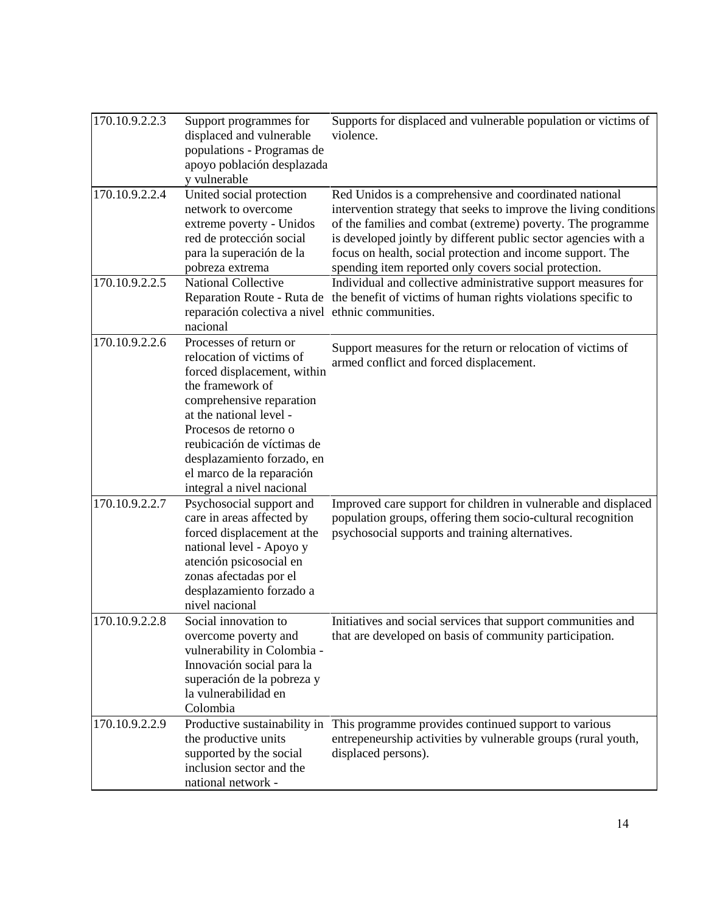| 170.10.9.2.2.3              | Support programmes for<br>displaced and vulnerable<br>populations - Programas de<br>apoyo población desplazada<br>y vulnerable                                                                                                                                                                              | Supports for displaced and vulnerable population or victims of<br>violence.                                                                                                                                                                                                                                                                                                          |
|-----------------------------|-------------------------------------------------------------------------------------------------------------------------------------------------------------------------------------------------------------------------------------------------------------------------------------------------------------|--------------------------------------------------------------------------------------------------------------------------------------------------------------------------------------------------------------------------------------------------------------------------------------------------------------------------------------------------------------------------------------|
| 170.10.9.2.2.4              | United social protection<br>network to overcome<br>extreme poverty - Unidos<br>red de protección social<br>para la superación de la<br>pobreza extrema                                                                                                                                                      | Red Unidos is a comprehensive and coordinated national<br>intervention strategy that seeks to improve the living conditions<br>of the families and combat (extreme) poverty. The programme<br>is developed jointly by different public sector agencies with a<br>focus on health, social protection and income support. The<br>spending item reported only covers social protection. |
| 170.10.9.2.2.5              | <b>National Collective</b><br>reparación colectiva a nivel ethnic communities.<br>nacional                                                                                                                                                                                                                  | Individual and collective administrative support measures for<br>Reparation Route - Ruta de the benefit of victims of human rights violations specific to                                                                                                                                                                                                                            |
| 170.10.9.2.2.6              | Processes of return or<br>relocation of victims of<br>forced displacement, within<br>the framework of<br>comprehensive reparation<br>at the national level -<br>Procesos de retorno o<br>reubicación de víctimas de<br>desplazamiento forzado, en<br>el marco de la reparación<br>integral a nivel nacional | Support measures for the return or relocation of victims of<br>armed conflict and forced displacement.                                                                                                                                                                                                                                                                               |
| $170.10.9.2.2.\overline{7}$ | Psychosocial support and<br>care in areas affected by<br>forced displacement at the<br>national level - Apoyo y<br>atención psicosocial en<br>zonas afectadas por el<br>desplazamiento forzado a<br>nivel nacional                                                                                          | Improved care support for children in vulnerable and displaced<br>population groups, offering them socio-cultural recognition<br>psychosocial supports and training alternatives.                                                                                                                                                                                                    |
| 170.10.9.2.2.8              | Social innovation to<br>overcome poverty and<br>vulnerability in Colombia -<br>Innovación social para la<br>superación de la pobreza y<br>la vulnerabilidad en<br>Colombia                                                                                                                                  | Initiatives and social services that support communities and<br>that are developed on basis of community participation.                                                                                                                                                                                                                                                              |
| 170.10.9.2.2.9              | Productive sustainability in<br>the productive units<br>supported by the social<br>inclusion sector and the<br>national network -                                                                                                                                                                           | This programme provides continued support to various<br>entrepeneurship activities by vulnerable groups (rural youth,<br>displaced persons).                                                                                                                                                                                                                                         |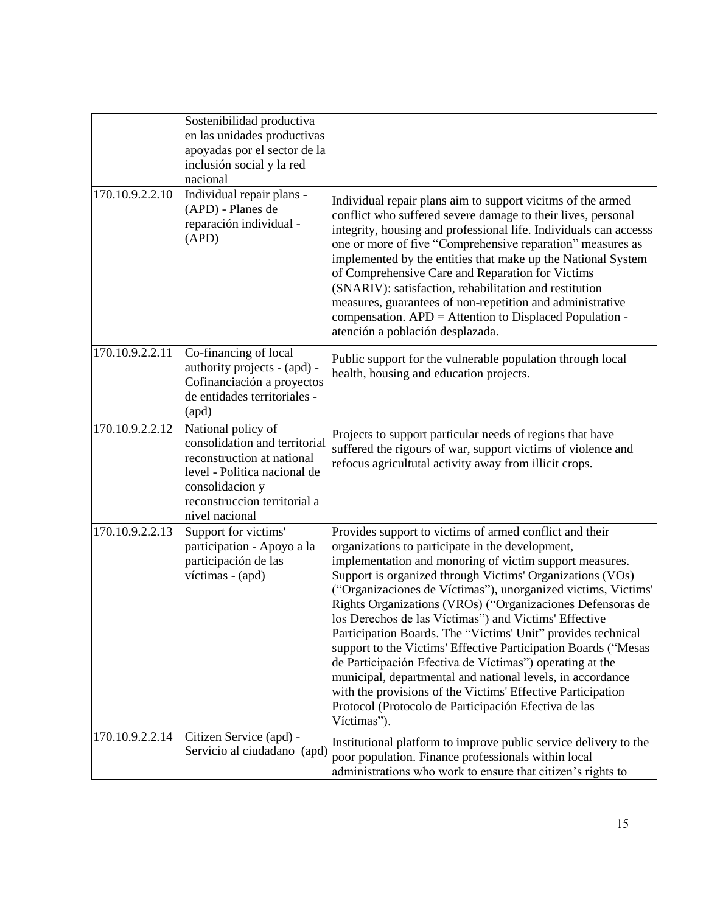|                 | Sostenibilidad productiva<br>en las unidades productivas<br>apoyadas por el sector de la<br>inclusión social y la red<br>nacional                                                      |                                                                                                                                                                                                                                                                                                                                                                                                                                                                                                                                                                                                                                                                                                                                                                                                                               |
|-----------------|----------------------------------------------------------------------------------------------------------------------------------------------------------------------------------------|-------------------------------------------------------------------------------------------------------------------------------------------------------------------------------------------------------------------------------------------------------------------------------------------------------------------------------------------------------------------------------------------------------------------------------------------------------------------------------------------------------------------------------------------------------------------------------------------------------------------------------------------------------------------------------------------------------------------------------------------------------------------------------------------------------------------------------|
| 170.10.9.2.2.10 | Individual repair plans -<br>(APD) - Planes de<br>reparación individual -<br>(APD)                                                                                                     | Individual repair plans aim to support vicitms of the armed<br>conflict who suffered severe damage to their lives, personal<br>integrity, housing and professional life. Individuals can accesss<br>one or more of five "Comprehensive reparation" measures as<br>implemented by the entities that make up the National System<br>of Comprehensive Care and Reparation for Victims<br>(SNARIV): satisfaction, rehabilitation and restitution<br>measures, guarantees of non-repetition and administrative<br>compensation. APD = Attention to Displaced Population -<br>atención a población desplazada.                                                                                                                                                                                                                      |
| 170.10.9.2.2.11 | Co-financing of local<br>authority projects - (apd) -<br>Cofinanciación a proyectos<br>de entidades territoriales -<br>(apd)                                                           | Public support for the vulnerable population through local<br>health, housing and education projects.                                                                                                                                                                                                                                                                                                                                                                                                                                                                                                                                                                                                                                                                                                                         |
| 170.10.9.2.2.12 | National policy of<br>consolidation and territorial<br>reconstruction at national<br>level - Politica nacional de<br>consolidacion y<br>reconstruccion territorial a<br>nivel nacional | Projects to support particular needs of regions that have<br>suffered the rigours of war, support victims of violence and<br>refocus agricultutal activity away from illicit crops.                                                                                                                                                                                                                                                                                                                                                                                                                                                                                                                                                                                                                                           |
| 170.10.9.2.2.13 | Support for victims'<br>participation - Apoyo a la<br>participación de las<br>víctimas - (apd)                                                                                         | Provides support to victims of armed conflict and their<br>organizations to participate in the development,<br>implementation and monoring of victim support measures.<br>Support is organized through Victims' Organizations (VOs)<br>("Organizaciones de Víctimas"), unorganized victims, Victims'<br>Rights Organizations (VROs) ("Organizaciones Defensoras de<br>los Derechos de las Víctimas") and Victims' Effective<br>Participation Boards. The "Victims' Unit" provides technical<br>support to the Victims' Effective Participation Boards ("Mesas<br>de Participación Efectiva de Víctimas") operating at the<br>municipal, departmental and national levels, in accordance<br>with the provisions of the Victims' Effective Participation<br>Protocol (Protocolo de Participación Efectiva de las<br>Víctimas"). |
| 170.10.9.2.2.14 | Citizen Service (apd) -<br>Servicio al ciudadano (apd)                                                                                                                                 | Institutional platform to improve public service delivery to the<br>poor population. Finance professionals within local<br>administrations who work to ensure that citizen's rights to                                                                                                                                                                                                                                                                                                                                                                                                                                                                                                                                                                                                                                        |